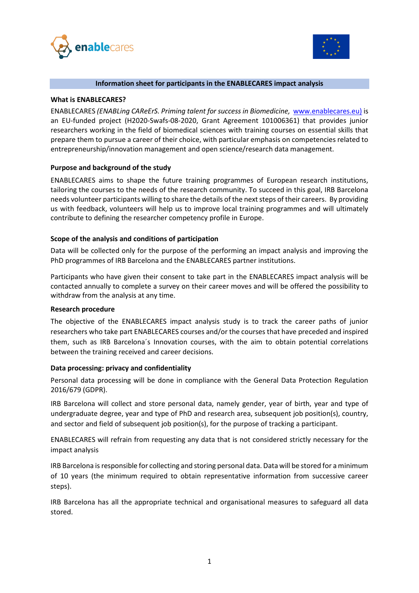



### **Information sheet for participants in the ENABLECARES impact analysis**

### **What is ENABLECARES?**

ENABLECARES *(ENABLing CAReErS. Priming talent for success in Biomedicine,* [www.enablecares.eu\)](http://www.enablecares.eu/) is an EU-funded project (H2020-Swafs-08-2020, Grant Agreement 101006361) that provides junior researchers working in the field of biomedical sciences with training courses on essential skills that prepare them to pursue a career of their choice, with particular emphasis on competencies related to entrepreneurship/innovation management and open science/research data management.

## **Purpose and background of the study**

ENABLECARES aims to shape the future training programmes of European research institutions, tailoring the courses to the needs of the research community. To succeed in this goal, IRB Barcelona needs volunteer participants willing to share the details of the next steps of their careers. By providing us with feedback, volunteers will help us to improve local training programmes and will ultimately contribute to defining the researcher competency profile in Europe.

### **Scope of the analysis and conditions of participation**

Data will be collected only for the purpose of the performing an impact analysis and improving the PhD programmes of IRB Barcelona and the ENABLECARES partner institutions.

Participants who have given their consent to take part in the ENABLECARES impact analysis will be contacted annually to complete a survey on their career moves and will be offered the possibility to withdraw from the analysis at any time.

#### **Research procedure**

The objective of the ENABLECARES impact analysis study is to track the career paths of junior researchers who take part ENABLECARES courses and/or the courses that have preceded and inspired them, such as IRB Barcelona´s Innovation courses, with the aim to obtain potential correlations between the training received and career decisions.

#### **Data processing: privacy and confidentiality**

Personal data processing will be done in compliance with the General Data Protection Regulation 2016/679 (GDPR).

IRB Barcelona will collect and store personal data, namely gender, year of birth, year and type of undergraduate degree, year and type of PhD and research area, subsequent job position(s), country, and sector and field of subsequent job position(s), for the purpose of tracking a participant.

ENABLECARES will refrain from requesting any data that is not considered strictly necessary for the impact analysis

IRB Barcelona isresponsible for collecting and storing personal data. Data will be stored for a minimum of 10 years (the minimum required to obtain representative information from successive career steps).

IRB Barcelona has all the appropriate technical and organisational measures to safeguard all data stored.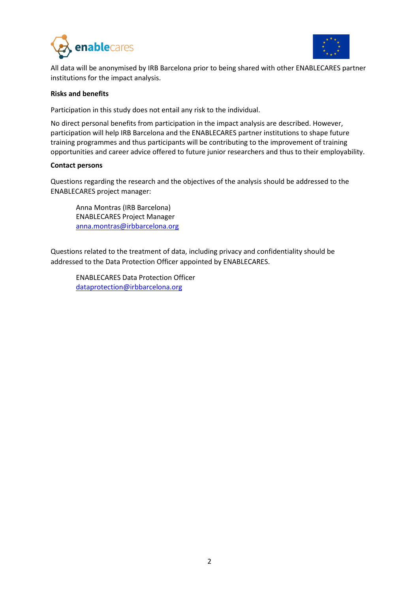



All data will be anonymised by IRB Barcelona prior to being shared with other ENABLECARES partner institutions for the impact analysis.

### **Risks and benefits**

Participation in this study does not entail any risk to the individual.

No direct personal benefits from participation in the impact analysis are described. However, participation will help IRB Barcelona and the ENABLECARES partner institutions to shape future training programmes and thus participants will be contributing to the improvement of training opportunities and career advice offered to future junior researchers and thus to their employability.

### **Contact persons**

Questions regarding the research and the objectives of the analysis should be addressed to the ENABLECARES project manager:

Anna Montras (IRB Barcelona) ENABLECARES Project Manager [anna.montras@irbbarcelona.org](mailto:Clara.caminal@irbbarcelona.org)

Questions related to the treatment of data, including privacy and confidentiality should be addressed to the Data Protection Officer appointed by ENABLECARES.

ENABLECARES Data Protection Officer [dataprotection@irbbarcelona.org](mailto:Bibiana.cervello@irbbarcelona.org)